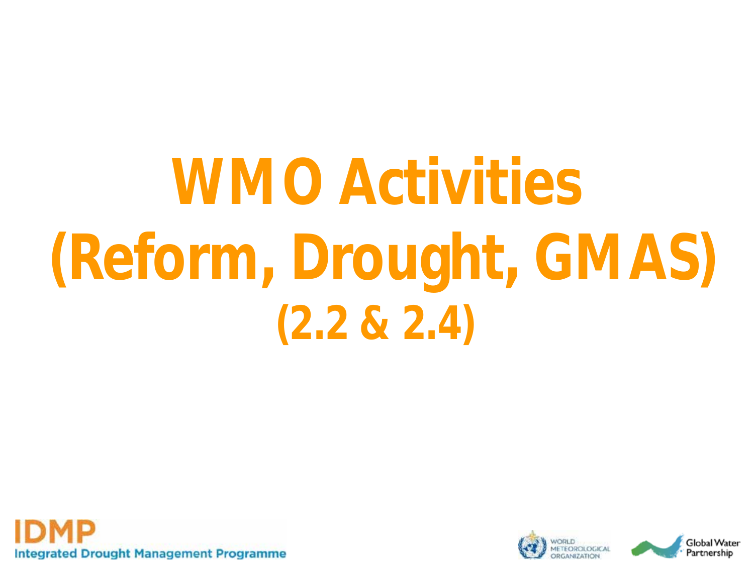## **WMO Activities (Reform, Drought, GMAS) (2.2 & 2.4)**



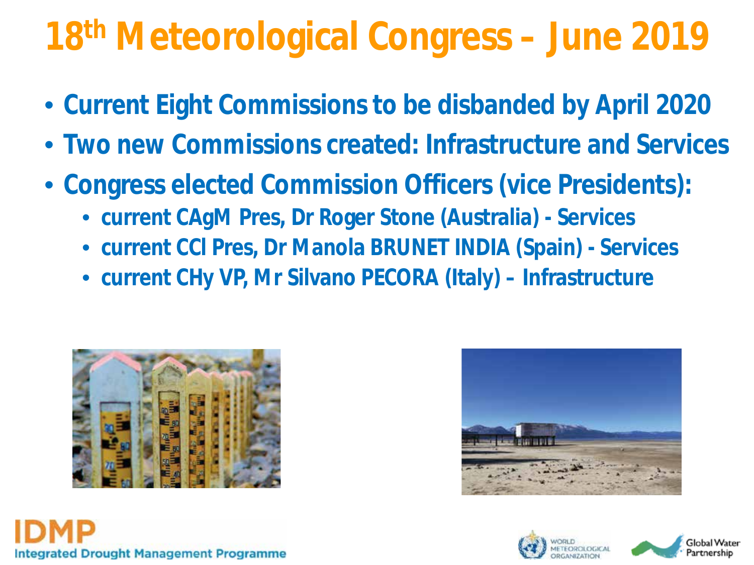#### **18th Meteorological Congress – June 2019**

- **Current Eight Commissions to be disbanded by April 2020**
- **Two new Commissions created: Infrastructure and Services**
- **Congress elected Commission Officers (vice Presidents):**
	- **current CAgM Pres, Dr Roger Stone (Australia) - Services**
	- **current CCl Pres, Dr Manola BRUNET INDIA (Spain) - Services**
	- **current CHy VP, Mr Silvano PECORA (Italy) – Infrastructure**







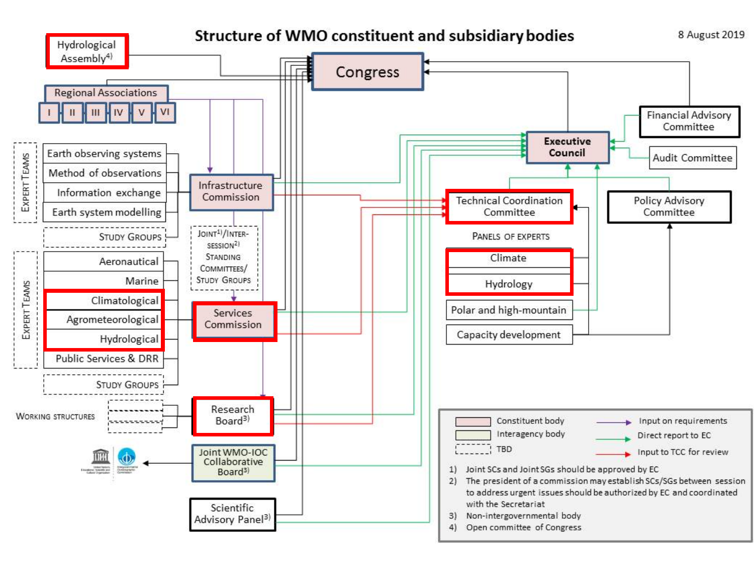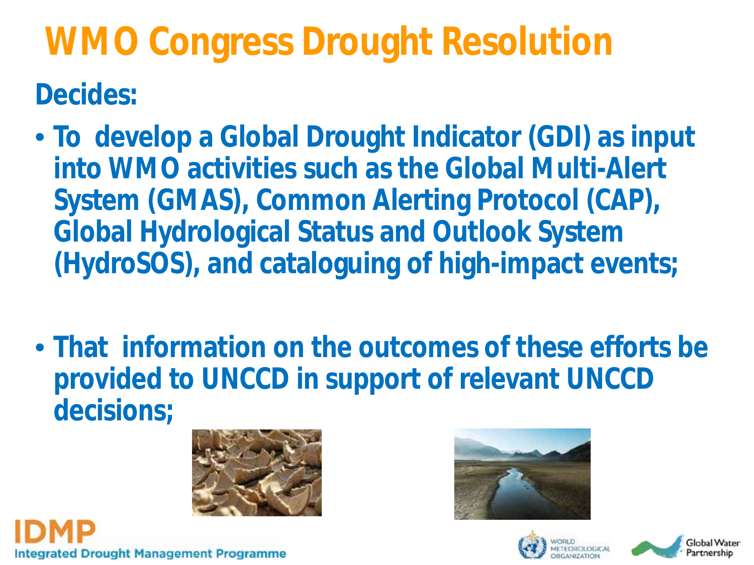### **WMO Congress Drought Resolution Decides:**

- **To develop a Global Drought Indicator (GDI) as input into WMO activities such as the Global Multi-Alert System (GMAS), Common Alerting Protocol (CAP), Global Hydrological Status and Outlook System (HydroSOS), and cataloguing of high-impact events;**
- **That information on the outcomes of these efforts be provided to UNCCD in support of relevant UNCCD decisions;**









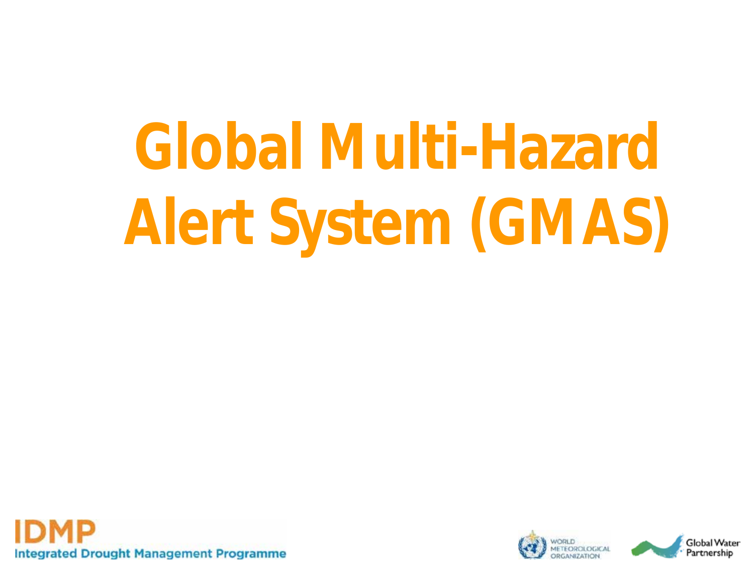# **Global Multi-Hazard Alert System (GMAS)**



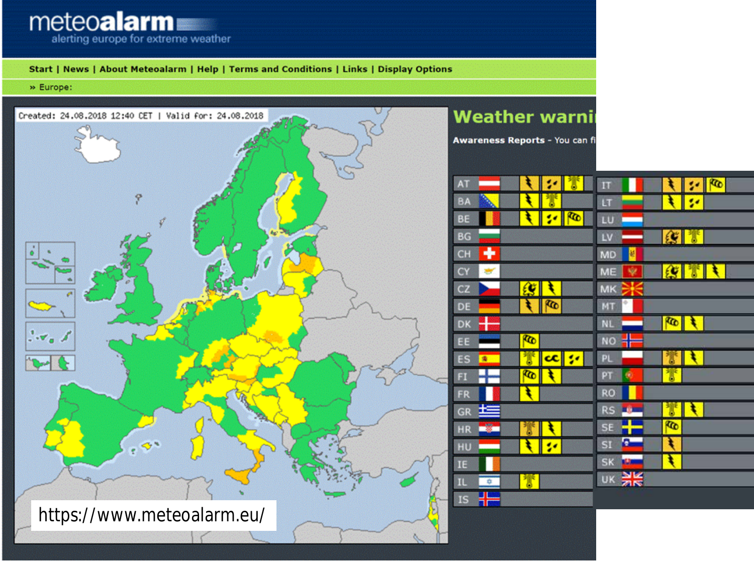

https://www.meteoalarm.eu/



鄁

IL.

 $\frac{1}{2}$ 

 $\frac{1}{2}$